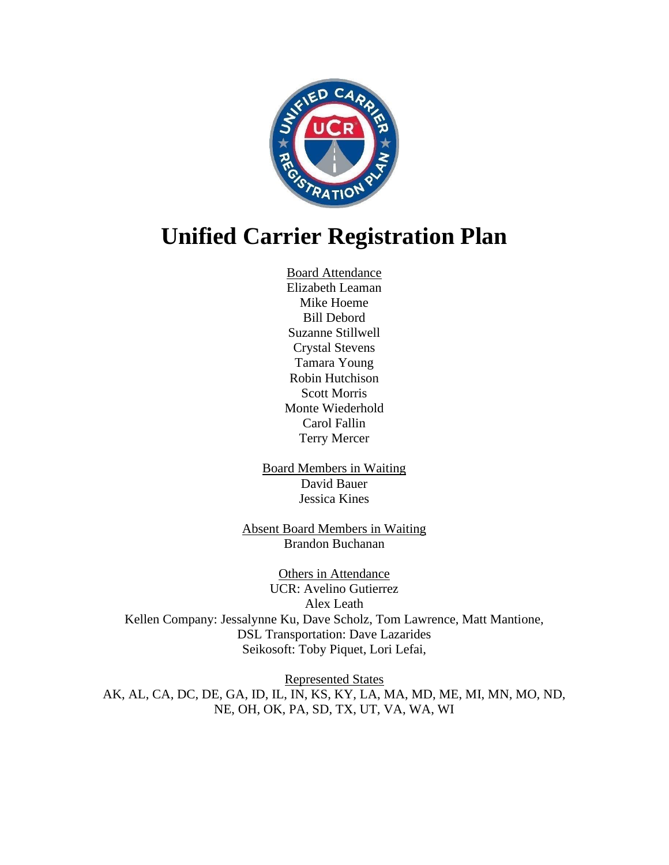

## **Unified Carrier Registration Plan**

Board Attendance Elizabeth Leaman Mike Hoeme Bill Debord Suzanne Stillwell Crystal Stevens Tamara Young Robin Hutchison Scott Morris Monte Wiederhold Carol Fallin Terry Mercer

Board Members in Waiting David Bauer Jessica Kines

Absent Board Members in Waiting Brandon Buchanan

Others in Attendance UCR: Avelino Gutierrez Alex Leath Kellen Company: Jessalynne Ku, Dave Scholz, Tom Lawrence, Matt Mantione, DSL Transportation: Dave Lazarides Seikosoft: Toby Piquet, Lori Lefai,

Represented States AK, AL, CA, DC, DE, GA, ID, IL, IN, KS, KY, LA, MA, MD, ME, MI, MN, MO, ND, NE, OH, OK, PA, SD, TX, UT, VA, WA, WI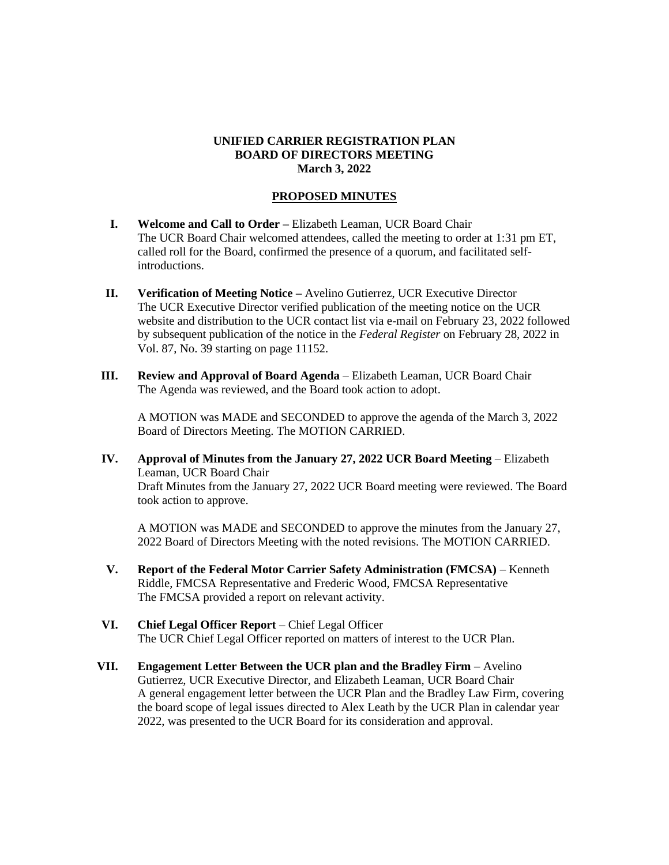## **UNIFIED CARRIER REGISTRATION PLAN BOARD OF DIRECTORS MEETING March 3, 2022**

## **PROPOSED MINUTES**

- **I. Welcome and Call to Order –** Elizabeth Leaman, UCR Board Chair The UCR Board Chair welcomed attendees, called the meeting to order at 1:31 pm ET, called roll for the Board, confirmed the presence of a quorum, and facilitated selfintroductions.
- **II. Verification of Meeting Notice –** Avelino Gutierrez, UCR Executive Director The UCR Executive Director verified publication of the meeting notice on the UCR website and distribution to the UCR contact list via e-mail on February 23, 2022 followed by subsequent publication of the notice in the *Federal Register* on February 28, 2022 in Vol. 87, No. 39 starting on page 11152.
- **III. Review and Approval of Board Agenda** Elizabeth Leaman, UCR Board Chair The Agenda was reviewed, and the Board took action to adopt.

A MOTION was MADE and SECONDED to approve the agenda of the March 3, 2022 Board of Directors Meeting. The MOTION CARRIED.

**IV. Approval of Minutes from the January 27, 2022 UCR Board Meeting** – Elizabeth Leaman, UCR Board Chair Draft Minutes from the January 27, 2022 UCR Board meeting were reviewed. The Board took action to approve.

A MOTION was MADE and SECONDED to approve the minutes from the January 27, 2022 Board of Directors Meeting with the noted revisions. The MOTION CARRIED.

- **V. Report of the Federal Motor Carrier Safety Administration (FMCSA)** Kenneth Riddle, FMCSA Representative and Frederic Wood, FMCSA Representative The FMCSA provided a report on relevant activity.
- **VI. Chief Legal Officer Report** Chief Legal Officer The UCR Chief Legal Officer reported on matters of interest to the UCR Plan.
- **VII. Engagement Letter Between the UCR plan and the Bradley Firm** Avelino Gutierrez, UCR Executive Director, and Elizabeth Leaman, UCR Board Chair A general engagement letter between the UCR Plan and the Bradley Law Firm, covering the board scope of legal issues directed to Alex Leath by the UCR Plan in calendar year 2022, was presented to the UCR Board for its consideration and approval.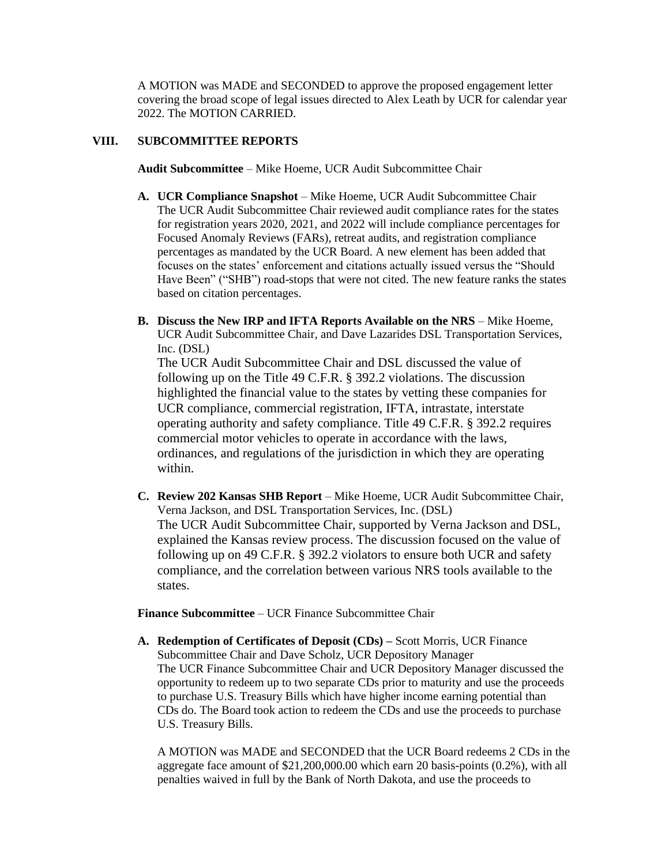A MOTION was MADE and SECONDED to approve the proposed engagement letter covering the broad scope of legal issues directed to Alex Leath by UCR for calendar year 2022. The MOTION CARRIED.

## **VIII. SUBCOMMITTEE REPORTS**

**Audit Subcommittee** – Mike Hoeme, UCR Audit Subcommittee Chair

- **A. UCR Compliance Snapshot** Mike Hoeme, UCR Audit Subcommittee Chair The UCR Audit Subcommittee Chair reviewed audit compliance rates for the states for registration years 2020, 2021, and 2022 will include compliance percentages for Focused Anomaly Reviews (FARs), retreat audits, and registration compliance percentages as mandated by the UCR Board. A new element has been added that focuses on the states' enforcement and citations actually issued versus the "Should Have Been" ("SHB") road-stops that were not cited. The new feature ranks the states based on citation percentages.
- **B. Discuss the New IRP and IFTA Reports Available on the NRS** Mike Hoeme, UCR Audit Subcommittee Chair, and Dave Lazarides DSL Transportation Services, Inc. (DSL)

The UCR Audit Subcommittee Chair and DSL discussed the value of following up on the Title 49 C.F.R. § 392.2 violations. The discussion highlighted the financial value to the states by vetting these companies for UCR compliance, commercial registration, IFTA, intrastate, interstate operating authority and safety compliance. Title 49 C.F.R. § 392.2 requires commercial motor vehicles to operate in accordance with the laws, ordinances, and regulations of the jurisdiction in which they are operating within.

**C. Review 202 Kansas SHB Report** – Mike Hoeme, UCR Audit Subcommittee Chair, Verna Jackson, and DSL Transportation Services, Inc. (DSL) The UCR Audit Subcommittee Chair, supported by Verna Jackson and DSL, explained the Kansas review process. The discussion focused on the value of following up on 49 C.F.R. § 392.2 violators to ensure both UCR and safety compliance, and the correlation between various NRS tools available to the states.

**Finance Subcommittee** – UCR Finance Subcommittee Chair

**A. Redemption of Certificates of Deposit (CDs) –** Scott Morris, UCR Finance Subcommittee Chair and Dave Scholz, UCR Depository Manager The UCR Finance Subcommittee Chair and UCR Depository Manager discussed the opportunity to redeem up to two separate CDs prior to maturity and use the proceeds to purchase U.S. Treasury Bills which have higher income earning potential than CDs do. The Board took action to redeem the CDs and use the proceeds to purchase U.S. Treasury Bills.

A MOTION was MADE and SECONDED that the UCR Board redeems 2 CDs in the aggregate face amount of \$21,200,000.00 which earn 20 basis-points (0.2%), with all penalties waived in full by the Bank of North Dakota, and use the proceeds to